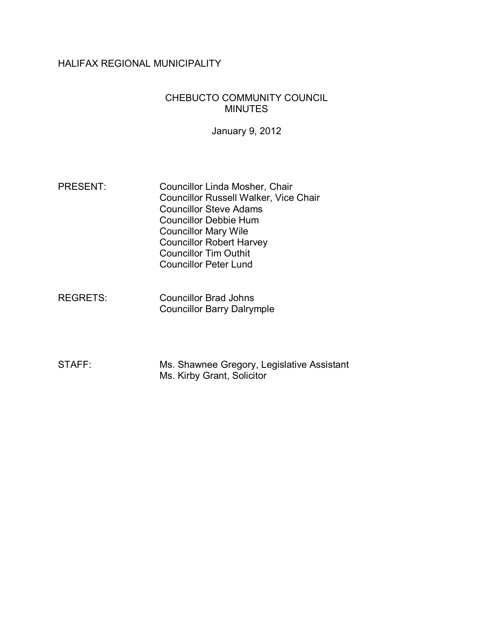## HALIFAX REGIONAL MUNICIPALITY

#### CHEBUCTO COMMUNITY COUNCIL MINUTES

January 9, 2012

- PRESENT: Councillor Linda Mosher, Chair Councillor Russell Walker, Vice Chair Councillor Steve Adams Councillor Debbie Hum Councillor Mary Wile Councillor Robert Harvey Councillor Tim Outhit Councillor Peter Lund
- REGRETS: Councillor Brad Johns Councillor Barry Dalrymple
- STAFF: Ms. Shawnee Gregory, Legislative Assistant Ms. Kirby Grant, Solicitor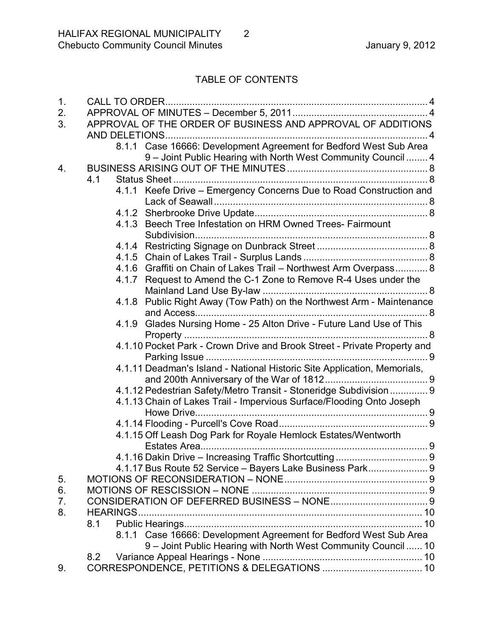# TABLE OF CONTENTS

| APPROVAL OF THE ORDER OF BUSINESS AND APPROVAL OF ADDITIONS              |
|--------------------------------------------------------------------------|
|                                                                          |
| 8.1.1 Case 16666: Development Agreement for Bedford West Sub Area        |
| 9 - Joint Public Hearing with North West Community Council  4            |
|                                                                          |
| 4.1                                                                      |
| 4.1.1 Keefe Drive - Emergency Concerns Due to Road Construction and      |
|                                                                          |
|                                                                          |
| 4.1.3 Beech Tree Infestation on HRM Owned Trees- Fairmount               |
|                                                                          |
|                                                                          |
|                                                                          |
| 4.1.6 Graffiti on Chain of Lakes Trail - Northwest Arm Overpass 8        |
| 4.1.7 Request to Amend the C-1 Zone to Remove R-4 Uses under the         |
|                                                                          |
| 4.1.8 Public Right Away (Tow Path) on the Northwest Arm - Maintenance    |
|                                                                          |
| 4.1.9 Glades Nursing Home - 25 Alton Drive - Future Land Use of This     |
|                                                                          |
| 4.1.10 Pocket Park - Crown Drive and Brook Street - Private Property and |
|                                                                          |
| 4.1.11 Deadman's Island - National Historic Site Application, Memorials, |
|                                                                          |
| 4.1.12 Pedestrian Safety/Metro Transit - Stoneridge Subdivision 9        |
| 4.1.13 Chain of Lakes Trail - Impervious Surface/Flooding Onto Joseph    |
|                                                                          |
|                                                                          |
| 4.1.15 Off Leash Dog Park for Royale Hemlock Estates/Wentworth           |
|                                                                          |
|                                                                          |
| 4.1.17 Bus Route 52 Service - Bayers Lake Business Park 9                |
|                                                                          |
|                                                                          |
|                                                                          |
|                                                                          |
| 8.1                                                                      |
| 8.1.1 Case 16666: Development Agreement for Bedford West Sub Area        |
| 9 - Joint Public Hearing with North West Community Council  10           |
| 8.2                                                                      |
|                                                                          |
|                                                                          |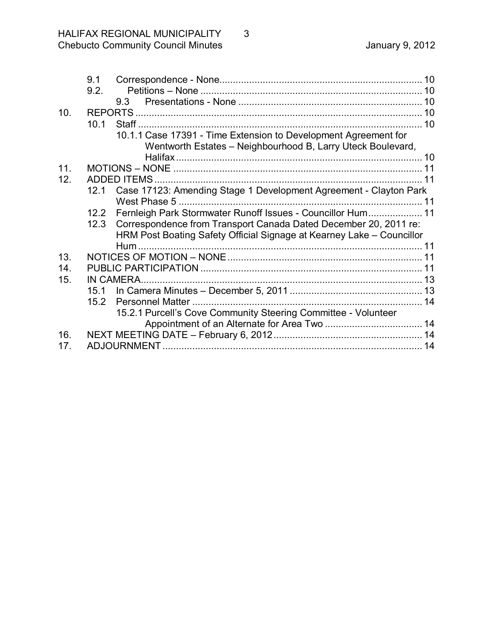|                 | 9.1  |                                                                       |  |
|-----------------|------|-----------------------------------------------------------------------|--|
|                 | 9.2. |                                                                       |  |
|                 |      |                                                                       |  |
| 10.             |      |                                                                       |  |
|                 | 10.1 |                                                                       |  |
|                 |      | 10.1.1 Case 17391 - Time Extension to Development Agreement for       |  |
|                 |      | Wentworth Estates - Neighbourhood B, Larry Uteck Boulevard,           |  |
|                 |      |                                                                       |  |
| 11 <sub>1</sub> |      |                                                                       |  |
| 12.             |      |                                                                       |  |
|                 | 12.1 | Case 17123: Amending Stage 1 Development Agreement - Clayton Park     |  |
|                 |      |                                                                       |  |
|                 | 12.2 | Fernleigh Park Stormwater Runoff Issues - Councillor Hum 11           |  |
|                 | 12.3 | Correspondence from Transport Canada Dated December 20, 2011 re:      |  |
|                 |      | HRM Post Boating Safety Official Signage at Kearney Lake - Councillor |  |
|                 |      |                                                                       |  |
| 13.             |      |                                                                       |  |
| 14.             |      |                                                                       |  |
| 15.             |      |                                                                       |  |
|                 |      |                                                                       |  |
|                 | 15.2 |                                                                       |  |
|                 |      | 15.2.1 Purcell's Cove Community Steering Committee - Volunteer        |  |
|                 |      |                                                                       |  |
| 16.             |      |                                                                       |  |
| 17.             |      |                                                                       |  |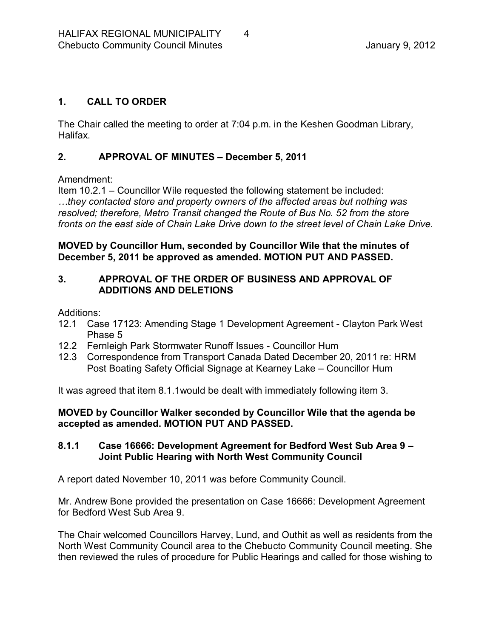## <span id="page-3-0"></span>**1. CALL TO ORDER**

The Chair called the meeting to order at 7:04 p.m. in the Keshen Goodman Library, Halifax.

### <span id="page-3-1"></span>**2. APPROVAL OF MINUTES – December 5, 2011**

Amendment:

Item 10.2.1 – Councillor Wile requested the following statement be included: *…they contacted store and property owners of the affected areas but nothing was resolved; therefore, Metro Transit changed the Route of Bus No. 52 from the store fronts on the east side of Chain Lake Drive down to the street level of Chain Lake Drive.*

**MOVED by Councillor Hum, seconded by Councillor Wile that the minutes of December 5, 2011 be approved as amended. MOTION PUT AND PASSED.** 

#### <span id="page-3-2"></span>**3. APPROVAL OF THE ORDER OF BUSINESS AND APPROVAL OF ADDITIONS AND DELETIONS**

Additions:

- 12.1 Case 17123: Amending Stage 1 Development Agreement Clayton Park West Phase 5
- 12.2 Fernleigh Park Stormwater Runoff Issues Councillor Hum
- 12.3 Correspondence from Transport Canada Dated December 20, 2011 re: HRM Post Boating Safety Official Signage at Kearney Lake – Councillor Hum

It was agreed that item 8.1.1would be dealt with immediately following item 3.

**MOVED by Councillor Walker seconded by Councillor Wile that the agenda be accepted as amended. MOTION PUT AND PASSED.** 

#### <span id="page-3-3"></span>**8.1.1 Case 16666: Development Agreement for Bedford West Sub Area 9 – Joint Public Hearing with North West Community Council**

A report dated November 10, 2011 was before Community Council.

Mr. Andrew Bone provided the presentation on Case 16666: Development Agreement for Bedford West Sub Area 9.

The Chair welcomed Councillors Harvey, Lund, and Outhit as well as residents from the North West Community Council area to the Chebucto Community Council meeting. She then reviewed the rules of procedure for Public Hearings and called for those wishing to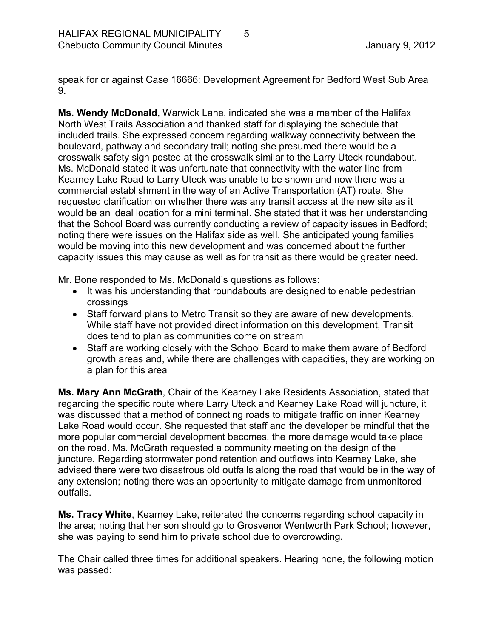speak for or against Case 16666: Development Agreement for Bedford West Sub Area 9.

**Ms. Wendy McDonald**, Warwick Lane, indicated she was a member of the Halifax North West Trails Association and thanked staff for displaying the schedule that included trails. She expressed concern regarding walkway connectivity between the boulevard, pathway and secondary trail; noting she presumed there would be a crosswalk safety sign posted at the crosswalk similar to the Larry Uteck roundabout. Ms. McDonald stated it was unfortunate that connectivity with the water line from Kearney Lake Road to Larry Uteck was unable to be shown and now there was a commercial establishment in the way of an Active Transportation (AT) route. She requested clarification on whether there was any transit access at the new site as it would be an ideal location for a mini terminal. She stated that it was her understanding that the School Board was currently conducting a review of capacity issues in Bedford; noting there were issues on the Halifax side as well. She anticipated young families would be moving into this new development and was concerned about the further capacity issues this may cause as well as for transit as there would be greater need.

Mr. Bone responded to Ms. McDonald's questions as follows:

- · It was his understanding that roundabouts are designed to enable pedestrian crossings
- · Staff forward plans to Metro Transit so they are aware of new developments. While staff have not provided direct information on this development, Transit does tend to plan as communities come on stream
- · Staff are working closely with the School Board to make them aware of Bedford growth areas and, while there are challenges with capacities, they are working on a plan for this area

**Ms. Mary Ann McGrath**, Chair of the Kearney Lake Residents Association, stated that regarding the specific route where Larry Uteck and Kearney Lake Road will juncture, it was discussed that a method of connecting roads to mitigate traffic on inner Kearney Lake Road would occur. She requested that staff and the developer be mindful that the more popular commercial development becomes, the more damage would take place on the road. Ms. McGrath requested a community meeting on the design of the juncture. Regarding stormwater pond retention and outflows into Kearney Lake, she advised there were two disastrous old outfalls along the road that would be in the way of any extension; noting there was an opportunity to mitigate damage from unmonitored outfalls.

**Ms. Tracy White**, Kearney Lake, reiterated the concerns regarding school capacity in the area; noting that her son should go to Grosvenor Wentworth Park School; however, she was paying to send him to private school due to overcrowding.

The Chair called three times for additional speakers. Hearing none, the following motion was passed: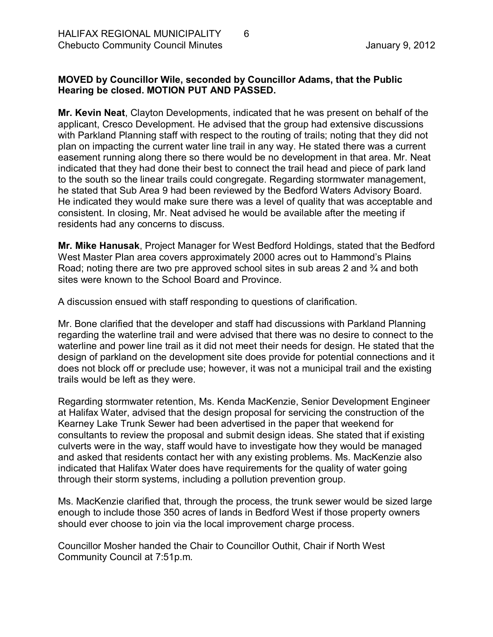## **MOVED by Councillor Wile, seconded by Councillor Adams, that the Public Hearing be closed. MOTION PUT AND PASSED.**

**Mr. Kevin Neat**, Clayton Developments, indicated that he was present on behalf of the applicant, Cresco Development. He advised that the group had extensive discussions with Parkland Planning staff with respect to the routing of trails; noting that they did not plan on impacting the current water line trail in any way. He stated there was a current easement running along there so there would be no development in that area. Mr. Neat indicated that they had done their best to connect the trail head and piece of park land to the south so the linear trails could congregate. Regarding stormwater management, he stated that Sub Area 9 had been reviewed by the Bedford Waters Advisory Board. He indicated they would make sure there was a level of quality that was acceptable and consistent. In closing, Mr. Neat advised he would be available after the meeting if residents had any concerns to discuss.

**Mr. Mike Hanusak**, Project Manager for West Bedford Holdings, stated that the Bedford West Master Plan area covers approximately 2000 acres out to Hammond's Plains Road; noting there are two pre approved school sites in sub areas 2 and <sup>3</sup>/<sub>4</sub> and both sites were known to the School Board and Province.

A discussion ensued with staff responding to questions of clarification.

Mr. Bone clarified that the developer and staff had discussions with Parkland Planning regarding the waterline trail and were advised that there was no desire to connect to the waterline and power line trail as it did not meet their needs for design. He stated that the design of parkland on the development site does provide for potential connections and it does not block off or preclude use; however, it was not a municipal trail and the existing trails would be left as they were.

Regarding stormwater retention, Ms. Kenda MacKenzie, Senior Development Engineer at Halifax Water, advised that the design proposal for servicing the construction of the Kearney Lake Trunk Sewer had been advertised in the paper that weekend for consultants to review the proposal and submit design ideas. She stated that if existing culverts were in the way, staff would have to investigate how they would be managed and asked that residents contact her with any existing problems. Ms. MacKenzie also indicated that Halifax Water does have requirements for the quality of water going through their storm systems, including a pollution prevention group.

Ms. MacKenzie clarified that, through the process, the trunk sewer would be sized large enough to include those 350 acres of lands in Bedford West if those property owners should ever choose to join via the local improvement charge process.

Councillor Mosher handed the Chair to Councillor Outhit, Chair if North West Community Council at 7:51p.m.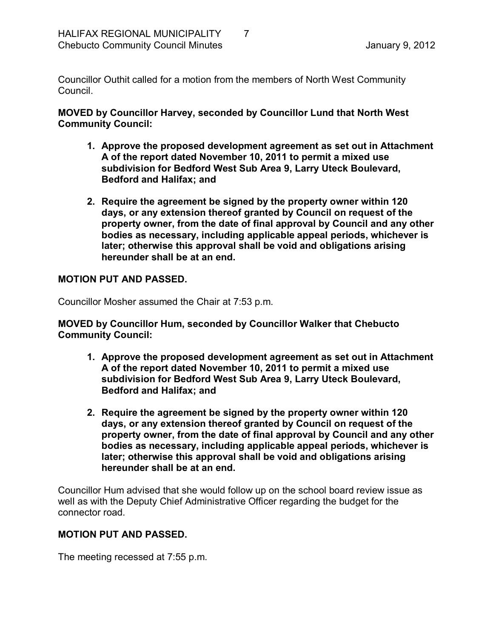Councillor Outhit called for a motion from the members of North West Community Council.

**MOVED by Councillor Harvey, seconded by Councillor Lund that North West Community Council:**

- **1. Approve the proposed development agreement as set out in Attachment A of the report dated November 10, 2011 to permit a mixed use subdivision for Bedford West Sub Area 9, Larry Uteck Boulevard, Bedford and Halifax; and**
- **2. Require the agreement be signed by the property owner within 120 days, or any extension thereof granted by Council on request of the property owner, from the date of final approval by Council and any other bodies as necessary, including applicable appeal periods, whichever is later; otherwise this approval shall be void and obligations arising hereunder shall be at an end.**

#### **MOTION PUT AND PASSED.**

Councillor Mosher assumed the Chair at 7:53 p.m.

**MOVED by Councillor Hum, seconded by Councillor Walker that Chebucto Community Council:**

- **1. Approve the proposed development agreement as set out in Attachment A of the report dated November 10, 2011 to permit a mixed use subdivision for Bedford West Sub Area 9, Larry Uteck Boulevard, Bedford and Halifax; and**
- **2. Require the agreement be signed by the property owner within 120 days, or any extension thereof granted by Council on request of the property owner, from the date of final approval by Council and any other bodies as necessary, including applicable appeal periods, whichever is later; otherwise this approval shall be void and obligations arising hereunder shall be at an end.**

Councillor Hum advised that she would follow up on the school board review issue as well as with the Deputy Chief Administrative Officer regarding the budget for the connector road.

#### **MOTION PUT AND PASSED.**

The meeting recessed at 7:55 p.m.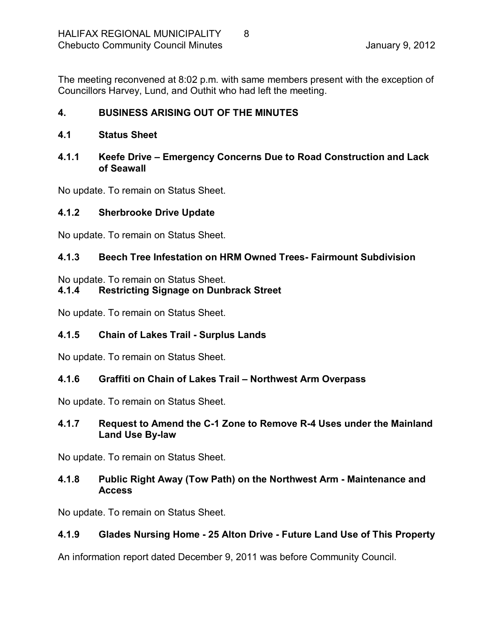The meeting reconvened at 8:02 p.m. with same members present with the exception of Councillors Harvey, Lund, and Outhit who had left the meeting.

## <span id="page-7-0"></span>**4. BUSINESS ARISING OUT OF THE MINUTES**

## <span id="page-7-1"></span>**4.1 Status Sheet**

## <span id="page-7-2"></span>**4.1.1 Keefe Drive – Emergency Concerns Due to Road Construction and Lack of Seawall**

No update. To remain on Status Sheet.

## <span id="page-7-3"></span>**4.1.2 Sherbrooke Drive Update**

No update. To remain on Status Sheet.

## <span id="page-7-4"></span>**4.1.3 Beech Tree Infestation on HRM Owned Trees Fairmount Subdivision**

No update. To remain on Status Sheet.

## <span id="page-7-5"></span>**4.1.4 Restricting Signage on Dunbrack Street**

No update. To remain on Status Sheet.

## <span id="page-7-6"></span>**4.1.5 Chain of Lakes Trail Surplus Lands**

No update. To remain on Status Sheet.

## <span id="page-7-7"></span>**4.1.6 Graffiti on Chain of Lakes Trail – Northwest Arm Overpass**

No update. To remain on Status Sheet.

#### <span id="page-7-8"></span>**4.1.7 Request to Amend the C1 Zone to Remove R4 Uses under the Mainland Land Use By-law**

No update. To remain on Status Sheet.

## <span id="page-7-9"></span>**4.1.8 Public Right Away (Tow Path) on the Northwest Arm Maintenance and Access**

No update. To remain on Status Sheet.

## <span id="page-7-10"></span>**4.1.9 Glades Nursing Home 25 Alton Drive Future Land Use of This Property**

An information report dated December 9, 2011 was before Community Council.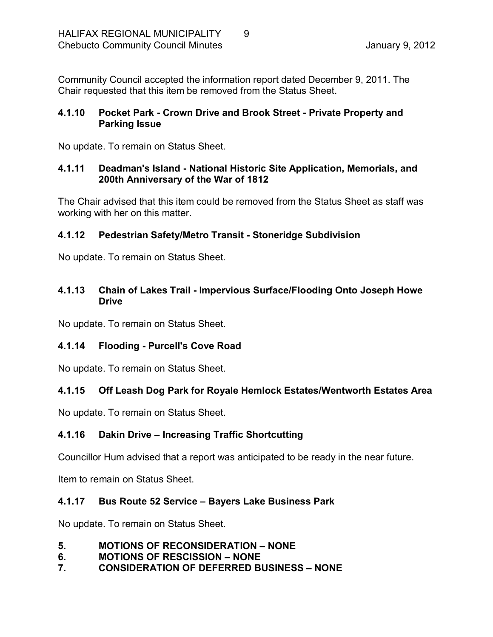Community Council accepted the information report dated December 9, 2011. The Chair requested that this item be removed from the Status Sheet.

## <span id="page-8-0"></span>**4.1.10 Pocket Park Crown Drive and Brook Street Private Property and Parking Issue**

No update. To remain on Status Sheet.

## <span id="page-8-1"></span>**4.1.11 Deadman's Island National Historic Site Application, Memorials, and 200th Anniversary of the War of 1812**

The Chair advised that this item could be removed from the Status Sheet as staff was working with her on this matter.

## <span id="page-8-2"></span>**4.1.12 Pedestrian Safety/Metro Transit Stoneridge Subdivision**

No update. To remain on Status Sheet.

## <span id="page-8-3"></span>**4.1.13 Chain of Lakes Trail Impervious Surface/Flooding Onto Joseph Howe Drive**

No update. To remain on Status Sheet.

## <span id="page-8-4"></span>**4.1.14 Flooding Purcell's Cove Road**

No update. To remain on Status Sheet.

# <span id="page-8-5"></span>**4.1.15 Off Leash Dog Park for Royale Hemlock Estates/Wentworth Estates Area**

No update. To remain on Status Sheet.

# <span id="page-8-6"></span>**4.1.16 Dakin Drive – Increasing Traffic Shortcutting**

Councillor Hum advised that a report was anticipated to be ready in the near future.

Item to remain on Status Sheet.

# <span id="page-8-7"></span>**4.1.17 Bus Route 52 Service – Bayers Lake Business Park**

No update. To remain on Status Sheet.

- <span id="page-8-8"></span>**5. MOTIONS OF RECONSIDERATION – NONE**
- <span id="page-8-9"></span>**6. MOTIONS OF RESCISSION – NONE**
- <span id="page-8-10"></span>**7. CONSIDERATION OF DEFERRED BUSINESS – NONE**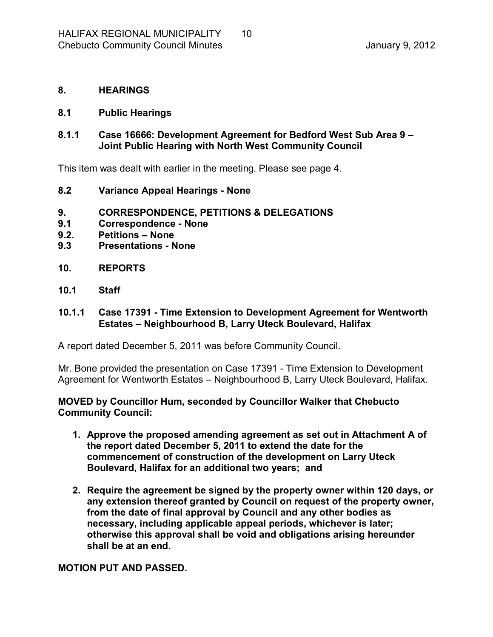#### <span id="page-9-0"></span>**8. HEARINGS**

#### <span id="page-9-1"></span>**8.1 Public Hearings**

### <span id="page-9-2"></span>**8.1.1 Case 16666: Development Agreement for Bedford West Sub Area 9 – Joint Public Hearing with North West Community Council**

This item was dealt with earlier in the meeting. Please see page 4.

- <span id="page-9-3"></span>**8.2 Variance Appeal Hearings None**
- <span id="page-9-4"></span>**9. CORRESPONDENCE, PETITIONS & DELEGATIONS**
- <span id="page-9-5"></span>**9.1 Correspondence None**
- <span id="page-9-6"></span>**9.2. Petitions – None**
- <span id="page-9-7"></span>**9.3 Presentations None**
- <span id="page-9-8"></span>**10. REPORTS**
- <span id="page-9-9"></span>**10.1 Staff**

#### <span id="page-9-10"></span>**10.1.1 Case 17391 Time Extension to Development Agreement for Wentworth Estates – Neighbourhood B, Larry Uteck Boulevard, Halifax**

A report dated December 5, 2011 was before Community Council.

Mr. Bone provided the presentation on Case 17391 - Time Extension to Development Agreement for Wentworth Estates – Neighbourhood B, Larry Uteck Boulevard, Halifax.

**MOVED by Councillor Hum, seconded by Councillor Walker that Chebucto Community Council:**

- **1. Approve the proposed amending agreement as set out in Attachment A of the report dated December 5, 2011 to extend the date for the commencement of construction of the development on Larry Uteck Boulevard, Halifax for an additional two years; and**
- **2. Require the agreement be signed by the property owner within 120 days, or any extension thereof granted by Council on request of the property owner, from the date of final approval by Council and any other bodies as necessary, including applicable appeal periods, whichever is later; otherwise this approval shall be void and obligations arising hereunder shall be at an end.**

**MOTION PUT AND PASSED.**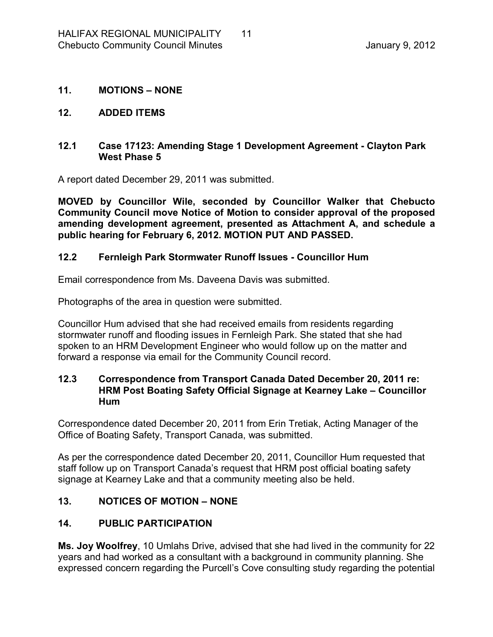#### <span id="page-10-0"></span>**11. MOTIONS – NONE**

#### <span id="page-10-1"></span>**12. ADDED ITEMS**

#### <span id="page-10-2"></span>**12.1 Case 17123: Amending Stage 1 Development Agreement Clayton Park West Phase 5**

A report dated December 29, 2011 was submitted.

**MOVED by Councillor Wile, seconded by Councillor Walker that Chebucto Community Council move Notice of Motion to consider approval of the proposed amending development agreement, presented as Attachment A, and schedule a public hearing for February 6, 2012. MOTION PUT AND PASSED.** 

#### <span id="page-10-3"></span>**12.2 Fernleigh Park Stormwater Runoff Issues Councillor Hum**

Email correspondence from Ms. Daveena Davis was submitted.

Photographs of the area in question were submitted.

Councillor Hum advised that she had received emails from residents regarding stormwater runoff and flooding issues in Fernleigh Park. She stated that she had spoken to an HRM Development Engineer who would follow up on the matter and forward a response via email for the Community Council record.

#### <span id="page-10-4"></span>**12.3 Correspondence from Transport Canada Dated December 20, 2011 re: HRM Post Boating Safety Official Signage at Kearney Lake – Councillor Hum**

Correspondence dated December 20, 2011 from Erin Tretiak, Acting Manager of the Office of Boating Safety, Transport Canada, was submitted.

As per the correspondence dated December 20, 2011, Councillor Hum requested that staff follow up on Transport Canada's request that HRM post official boating safety signage at Kearney Lake and that a community meeting also be held.

#### <span id="page-10-5"></span>**13. NOTICES OF MOTION – NONE**

#### <span id="page-10-6"></span>**14. PUBLIC PARTICIPATION**

**Ms. Joy Woolfrey**, 10 Umlahs Drive, advised that she had lived in the community for 22 years and had worked as a consultant with a background in community planning. She expressed concern regarding the Purcell's Cove consulting study regarding the potential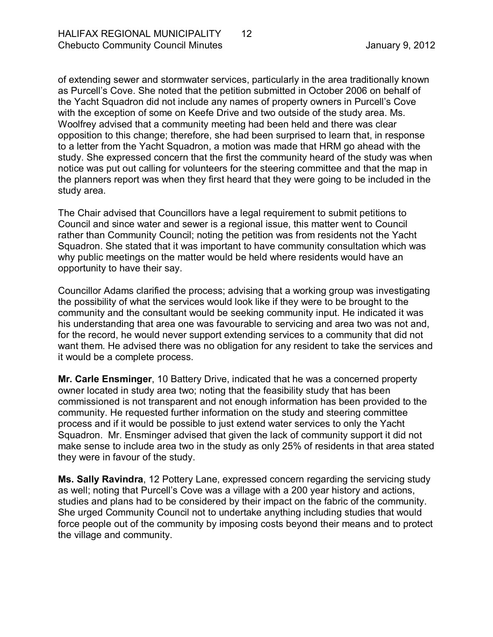of extending sewer and stormwater services, particularly in the area traditionally known as Purcell's Cove. She noted that the petition submitted in October 2006 on behalf of the Yacht Squadron did not include any names of property owners in Purcell's Cove with the exception of some on Keefe Drive and two outside of the study area. Ms. Woolfrey advised that a community meeting had been held and there was clear opposition to this change; therefore, she had been surprised to learn that, in response to a letter from the Yacht Squadron, a motion was made that HRM go ahead with the study. She expressed concern that the first the community heard of the study was when notice was put out calling for volunteers for the steering committee and that the map in the planners report was when they first heard that they were going to be included in the study area.

The Chair advised that Councillors have a legal requirement to submit petitions to Council and since water and sewer is a regional issue, this matter went to Council rather than Community Council; noting the petition was from residents not the Yacht Squadron. She stated that it was important to have community consultation which was why public meetings on the matter would be held where residents would have an opportunity to have their say.

Councillor Adams clarified the process; advising that a working group was investigating the possibility of what the services would look like if they were to be brought to the community and the consultant would be seeking community input. He indicated it was his understanding that area one was favourable to servicing and area two was not and, for the record, he would never support extending services to a community that did not want them. He advised there was no obligation for any resident to take the services and it would be a complete process.

**Mr. Carle Ensminger**, 10 Battery Drive, indicated that he was a concerned property owner located in study area two; noting that the feasibility study that has been commissioned is not transparent and not enough information has been provided to the community. He requested further information on the study and steering committee process and if it would be possible to just extend water services to only the Yacht Squadron. Mr. Ensminger advised that given the lack of community support it did not make sense to include area two in the study as only 25% of residents in that area stated they were in favour of the study.

**Ms. Sally Ravindra**, 12 Pottery Lane, expressed concern regarding the servicing study as well; noting that Purcell's Cove was a village with a 200 year history and actions, studies and plans had to be considered by their impact on the fabric of the community. She urged Community Council not to undertake anything including studies that would force people out of the community by imposing costs beyond their means and to protect the village and community.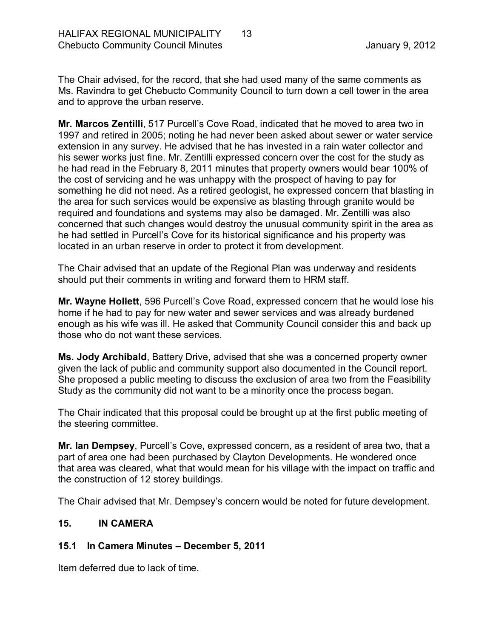The Chair advised, for the record, that she had used many of the same comments as Ms. Ravindra to get Chebucto Community Council to turn down a cell tower in the area and to approve the urban reserve.

**Mr. Marcos Zentilli**, 517 Purcell's Cove Road, indicated that he moved to area two in 1997 and retired in 2005; noting he had never been asked about sewer or water service extension in any survey. He advised that he has invested in a rain water collector and his sewer works just fine. Mr. Zentilli expressed concern over the cost for the study as he had read in the February 8, 2011 minutes that property owners would bear 100% of the cost of servicing and he was unhappy with the prospect of having to pay for something he did not need. As a retired geologist, he expressed concern that blasting in the area for such services would be expensive as blasting through granite would be required and foundations and systems may also be damaged. Mr. Zentilli was also concerned that such changes would destroy the unusual community spirit in the area as he had settled in Purcell's Cove for its historical significance and his property was located in an urban reserve in order to protect it from development.

The Chair advised that an update of the Regional Plan was underway and residents should put their comments in writing and forward them to HRM staff.

**Mr. Wayne Hollett**, 596 Purcell's Cove Road, expressed concern that he would lose his home if he had to pay for new water and sewer services and was already burdened enough as his wife was ill. He asked that Community Council consider this and back up those who do not want these services.

**Ms. Jody Archibald**, Battery Drive, advised that she was a concerned property owner given the lack of public and community support also documented in the Council report. She proposed a public meeting to discuss the exclusion of area two from the Feasibility Study as the community did not want to be a minority once the process began.

The Chair indicated that this proposal could be brought up at the first public meeting of the steering committee.

**Mr. Ian Dempsey**, Purcell's Cove, expressed concern, as a resident of area two, that a part of area one had been purchased by Clayton Developments. He wondered once that area was cleared, what that would mean for his village with the impact on traffic and the construction of 12 storey buildings.

The Chair advised that Mr. Dempsey's concern would be noted for future development.

#### <span id="page-12-0"></span>**15. IN CAMERA**

## <span id="page-12-1"></span>**15.1 In Camera Minutes – December 5, 2011**

Item deferred due to lack of time.